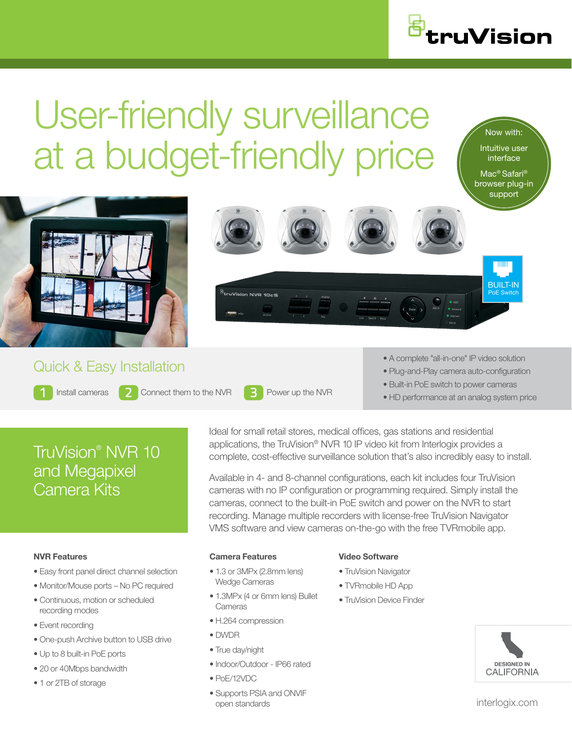

Now with: Intuitive user interface Mac® Safari® browser plug-in support

truVision



- Built-in PoE switch to power cameras
- HD performance at an analog system price

# TruVision® NVR 10 and Megapixel Camera Kits

#### NVR Features

- Easy front panel direct channel selection
- Monitor/Mouse ports No PC required
- Continuous, motion or scheduled recording modes
- Event recording
- One-push Archive button to USB drive
- Up to 8 built-in PoE ports
- 20 or 40Mbps bandwidth
- 1 or 2TB of storage

Ideal for small retail stores, medical offices, gas stations and residential applications, the TruVision® NVR 10 IP video kit from Interlogix provides a complete, cost-effective surveillance solution that's also incredibly easy to install.

Available in 4- and 8-channel configurations, each kit includes four TruVision cameras with no IP configuration or programming required. Simply install the cameras, connect to the built-in PoE switch and power on the NVR to start recording. Manage multiple recorders with license-free TruVision Navigator VMS software and view cameras on-the-go with the free TVRmobile app.

#### Camera Features

- 1.3 or 3MPx (2.8mm lens) Wedge Cameras
- 1.3MPx (4 or 6mm lens) Bullet **Cameras**
- H.264 compression
- DWDR

Install cameras  $\begin{array}{|c|c|c|c|c|c|}\n\hline\n\end{array}$  Connect them to the NVR  $\begin{array}{|c|c|c|c|c|}\n\hline\n\end{array}$  Power up the NVR

- True day/night
- Indoor/Outdoor IP66 rated
- PoE/12VDC
- Supports PSIA and ONVIF open standards

#### Video Software

- TruVision Navigator
- TVRmobile HD App
- TruVision Device Finder